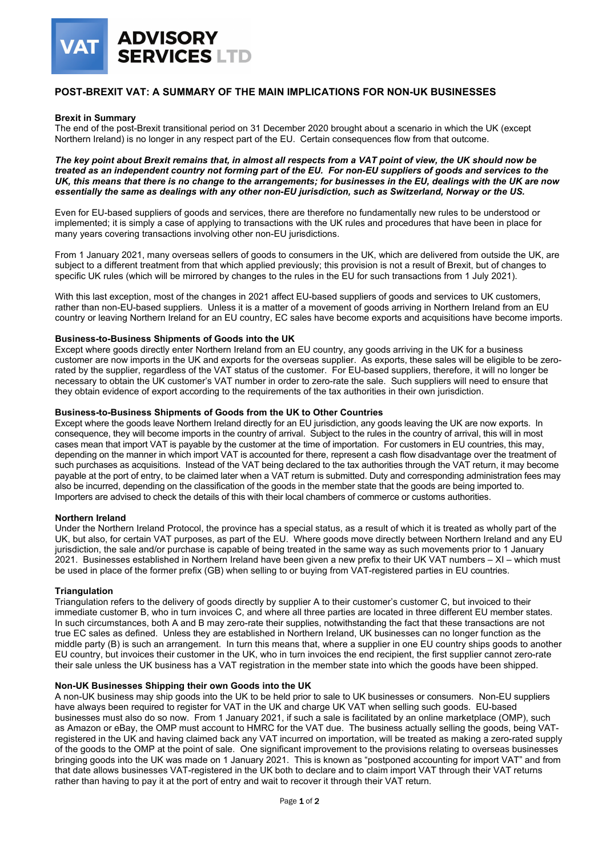

## **POST-BREXIT VAT: A SUMMARY OF THE MAIN IMPLICATIONS FOR NON-UK BUSINESSES**

#### **Brexit in Summary**

The end of the post-Brexit transitional period on 31 December 2020 brought about a scenario in which the UK (except Northern Ireland) is no longer in any respect part of the EU. Certain consequences flow from that outcome.

*The key point about Brexit remains that, in almost all respects from a VAT point of view, the UK should now be treated as an independent country not forming part of the EU. For non-EU suppliers of goods and services to the UK, this means that there is no change to the arrangements; for businesses in the EU, dealings with the UK are now essentially the same as dealings with any other non-EU jurisdiction, such as Switzerland, Norway or the US.*

Even for EU-based suppliers of goods and services, there are therefore no fundamentally new rules to be understood or implemented; it is simply a case of applying to transactions with the UK rules and procedures that have been in place for many years covering transactions involving other non-EU jurisdictions.

From 1 January 2021, many overseas sellers of goods to consumers in the UK, which are delivered from outside the UK, are subject to a different treatment from that which applied previously; this provision is not a result of Brexit, but of changes to specific UK rules (which will be mirrored by changes to the rules in the EU for such transactions from 1 July 2021).

With this last exception, most of the changes in 2021 affect EU-based suppliers of goods and services to UK customers, rather than non-EU-based suppliers. Unless it is a matter of a movement of goods arriving in Northern Ireland from an EU country or leaving Northern Ireland for an EU country, EC sales have become exports and acquisitions have become imports.

#### **Business-to-Business Shipments of Goods into the UK**

Except where goods directly enter Northern Ireland from an EU country, any goods arriving in the UK for a business customer are now imports in the UK and exports for the overseas supplier. As exports, these sales will be eligible to be zerorated by the supplier, regardless of the VAT status of the customer. For EU-based suppliers, therefore, it will no longer be necessary to obtain the UK customer's VAT number in order to zero-rate the sale. Such suppliers will need to ensure that they obtain evidence of export according to the requirements of the tax authorities in their own jurisdiction.

#### **Business-to-Business Shipments of Goods from the UK to Other Countries**

Except where the goods leave Northern Ireland directly for an EU jurisdiction, any goods leaving the UK are now exports. In consequence, they will become imports in the country of arrival. Subject to the rules in the country of arrival, this will in most cases mean that import VAT is payable by the customer at the time of importation. For customers in EU countries, this may, depending on the manner in which import VAT is accounted for there, represent a cash flow disadvantage over the treatment of such purchases as acquisitions. Instead of the VAT being declared to the tax authorities through the VAT return, it may become payable at the port of entry, to be claimed later when a VAT return is submitted. Duty and corresponding administration fees may also be incurred, depending on the classification of the goods in the member state that the goods are being imported to. Importers are advised to check the details of this with their local chambers of commerce or customs authorities.

#### **Northern Ireland**

Under the Northern Ireland Protocol, the province has a special status, as a result of which it is treated as wholly part of the UK, but also, for certain VAT purposes, as part of the EU. Where goods move directly between Northern Ireland and any EU jurisdiction, the sale and/or purchase is capable of being treated in the same way as such movements prior to 1 January 2021. Businesses established in Northern Ireland have been given a new prefix to their UK VAT numbers – XI – which must be used in place of the former prefix (GB) when selling to or buying from VAT-registered parties in EU countries.

#### **Triangulation**

Triangulation refers to the delivery of goods directly by supplier A to their customer's customer C, but invoiced to their immediate customer B, who in turn invoices C, and where all three parties are located in three different EU member states. In such circumstances, both A and B may zero-rate their supplies, notwithstanding the fact that these transactions are not true EC sales as defined. Unless they are established in Northern Ireland, UK businesses can no longer function as the middle party (B) is such an arrangement. In turn this means that, where a supplier in one EU country ships goods to another EU country, but invoices their customer in the UK, who in turn invoices the end recipient, the first supplier cannot zero-rate their sale unless the UK business has a VAT registration in the member state into which the goods have been shipped.

#### **Non-UK Businesses Shipping their own Goods into the UK**

A non-UK business may ship goods into the UK to be held prior to sale to UK businesses or consumers. Non-EU suppliers have always been required to register for VAT in the UK and charge UK VAT when selling such goods. EU-based businesses must also do so now. From 1 January 2021, if such a sale is facilitated by an online marketplace (OMP), such as Amazon or eBay, the OMP must account to HMRC for the VAT due. The business actually selling the goods, being VATregistered in the UK and having claimed back any VAT incurred on importation, will be treated as making a zero-rated supply of the goods to the OMP at the point of sale. One significant improvement to the provisions relating to overseas businesses bringing goods into the UK was made on 1 January 2021. This is known as "postponed accounting for import VAT" and from that date allows businesses VAT-registered in the UK both to declare and to claim import VAT through their VAT returns rather than having to pay it at the port of entry and wait to recover it through their VAT return.